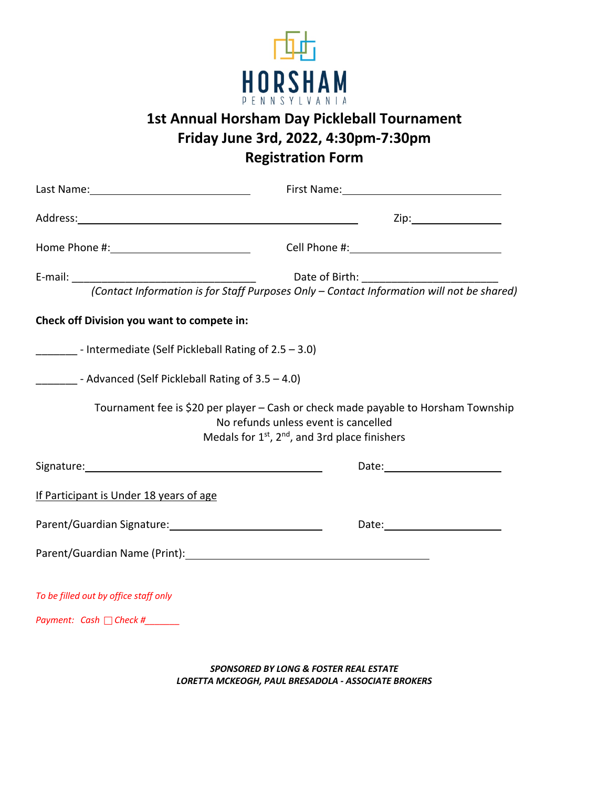

## **1st Annual Horsham Day Pickleball Tournament Friday June 3rd, 2022, 4:30pm-7:30pm Registration Form**

|                                                               | Zip:___________________                                                                                                                                                                              |
|---------------------------------------------------------------|------------------------------------------------------------------------------------------------------------------------------------------------------------------------------------------------------|
|                                                               |                                                                                                                                                                                                      |
|                                                               |                                                                                                                                                                                                      |
|                                                               |                                                                                                                                                                                                      |
| Check off Division you want to compete in:                    |                                                                                                                                                                                                      |
| ________ - Intermediate (Self Pickleball Rating of 2.5 - 3.0) |                                                                                                                                                                                                      |
| - Advanced (Self Pickleball Rating of 3.5 - 4.0)              |                                                                                                                                                                                                      |
|                                                               | Tournament fee is \$20 per player - Cash or check made payable to Horsham Township<br>No refunds unless event is cancelled<br>Medals for 1 <sup>st</sup> , 2 <sup>nd</sup> , and 3rd place finishers |
|                                                               | Date: <u>Date: Explorer</u>                                                                                                                                                                          |
| If Participant is Under 18 years of age                       |                                                                                                                                                                                                      |
| Parent/Guardian Signature: 1997 1997 1998                     |                                                                                                                                                                                                      |
|                                                               |                                                                                                                                                                                                      |
| To be filled out by office staff only                         |                                                                                                                                                                                                      |
| Payment: Cash □ Check #_______                                |                                                                                                                                                                                                      |

*SPONSORED BY LONG & FOSTER REAL ESTATE LORETTA MCKEOGH, PAUL BRESADOLA - ASSOCIATE BROKERS*